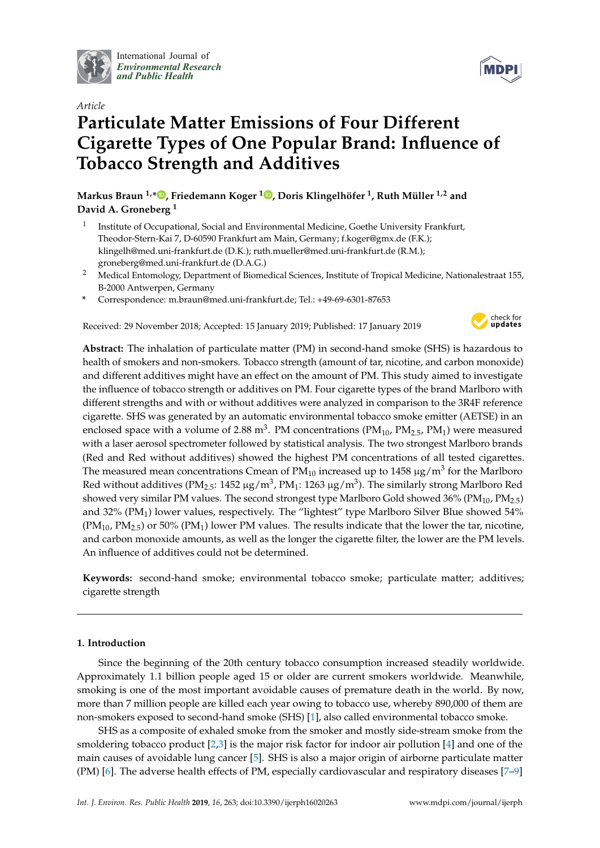

International Journal of *[Environmental Research](http://www.mdpi.com/journal/ijerph) and Public Health*



# *Article* **Particulate Matter Emissions of Four Different Cigarette Types of One Popular Brand: Influence of Tobacco Strength and Additives**

**Markus Braun 1,\* [,](https://orcid.org/0000-0003-3393-2851) Friedemann Koger <sup>1</sup> [,](https://orcid.org/0000-0002-7837-442X) Doris Klingelhöfer <sup>1</sup> , Ruth Müller 1,2 and David A. Groneberg <sup>1</sup>**

- 1 Institute of Occupational, Social and Environmental Medicine, Goethe University Frankfurt, Theodor-Stern-Kai 7, D-60590 Frankfurt am Main, Germany; f.koger@gmx.de (F.K.); klingelh@med.uni-frankfurt.de (D.K.); ruth.mueller@med.uni-frankfurt.de (R.M.); groneberg@med.uni-frankfurt.de (D.A.G.)
- <sup>2</sup> Medical Entomology, Department of Biomedical Sciences, Institute of Tropical Medicine, Nationalestraat 155, B-2000 Antwerpen, Germany
- **\*** Correspondence: m.braun@med.uni-frankfurt.de; Tel.: +49-69-6301-87653

Received: 29 November 2018; Accepted: 15 January 2019; Published: 17 January 2019



**Abstract:** The inhalation of particulate matter (PM) in second-hand smoke (SHS) is hazardous to health of smokers and non-smokers. Tobacco strength (amount of tar, nicotine, and carbon monoxide) and different additives might have an effect on the amount of PM. This study aimed to investigate the influence of tobacco strength or additives on PM. Four cigarette types of the brand Marlboro with different strengths and with or without additives were analyzed in comparison to the 3R4F reference cigarette. SHS was generated by an automatic environmental tobacco smoke emitter (AETSE) in an enclosed space with a volume of 2.88 m<sup>3</sup>. PM concentrations (PM<sub>10</sub>, PM<sub>2.5</sub>, PM<sub>1</sub>) were measured with a laser aerosol spectrometer followed by statistical analysis. The two strongest Marlboro brands (Red and Red without additives) showed the highest PM concentrations of all tested cigarettes. The measured mean concentrations Cmean of PM $_{10}$  increased up to 1458  $\mu$ g/m $^3$  for the Marlboro Red without additives (PM<sub>2.5</sub>: 1452 µg/m<sup>3</sup>, PM<sub>1</sub>: 1263 µg/m<sup>3</sup>). The similarly strong Marlboro Red showed very similar PM values. The second strongest type Marlboro Gold showed 36% (PM<sub>10</sub>, PM<sub>2.5</sub>) and 32% (PM1) lower values, respectively. The "lightest" type Marlboro Silver Blue showed 54%  $(PM_{10}, PM_{2.5})$  or 50%  $(PM_1)$  lower PM values. The results indicate that the lower the tar, nicotine, and carbon monoxide amounts, as well as the longer the cigarette filter, the lower are the PM levels. An influence of additives could not be determined.

**Keywords:** second-hand smoke; environmental tobacco smoke; particulate matter; additives; cigarette strength

# **1. Introduction**

Since the beginning of the 20th century tobacco consumption increased steadily worldwide. Approximately 1.1 billion people aged 15 or older are current smokers worldwide. Meanwhile, smoking is one of the most important avoidable causes of premature death in the world. By now, more than 7 million people are killed each year owing to tobacco use, whereby 890,000 of them are non-smokers exposed to second-hand smoke (SHS) [\[1\]](#page-7-0), also called environmental tobacco smoke.

SHS as a composite of exhaled smoke from the smoker and mostly side-stream smoke from the smoldering tobacco product [\[2](#page-7-1)[,3\]](#page-7-2) is the major risk factor for indoor air pollution [\[4\]](#page-7-3) and one of the main causes of avoidable lung cancer [\[5\]](#page-7-4). SHS is also a major origin of airborne particulate matter (PM) [\[6\]](#page-7-5). The adverse health effects of PM, especially cardiovascular and respiratory diseases [\[7](#page-7-6)[–9\]](#page-7-7)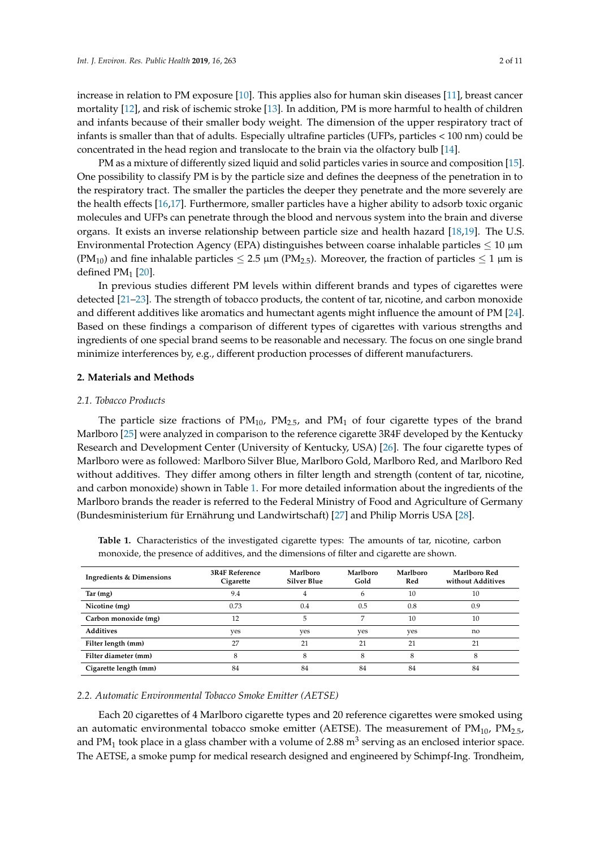increase in relation to PM exposure [\[10\]](#page-7-8). This applies also for human skin diseases [\[11\]](#page-7-9), breast cancer mortality [\[12\]](#page-7-10), and risk of ischemic stroke [\[13\]](#page-8-0). In addition, PM is more harmful to health of children and infants because of their smaller body weight. The dimension of the upper respiratory tract of infants is smaller than that of adults. Especially ultrafine particles (UFPs, particles < 100 nm) could be concentrated in the head region and translocate to the brain via the olfactory bulb [\[14\]](#page-8-1).

PM as a mixture of differently sized liquid and solid particles varies in source and composition [\[15\]](#page-8-2). One possibility to classify PM is by the particle size and defines the deepness of the penetration in to the respiratory tract. The smaller the particles the deeper they penetrate and the more severely are the health effects [\[16](#page-8-3)[,17\]](#page-8-4). Furthermore, smaller particles have a higher ability to adsorb toxic organic molecules and UFPs can penetrate through the blood and nervous system into the brain and diverse organs. It exists an inverse relationship between particle size and health hazard [\[18,](#page-8-5)[19\]](#page-8-6). The U.S. Environmental Protection Agency (EPA) distinguishes between coarse inhalable particles  $\leq 10 \ \mu m$ (PM<sub>10</sub>) and fine inhalable particles  $\leq 2.5 \mu m$  (PM<sub>2.5</sub>). Moreover, the fraction of particles  $\leq 1 \mu m$  is defined  $PM<sub>1</sub>$  [\[20\]](#page-8-7).

In previous studies different PM levels within different brands and types of cigarettes were detected [\[21–](#page-8-8)[23\]](#page-8-9). The strength of tobacco products, the content of tar, nicotine, and carbon monoxide and different additives like aromatics and humectant agents might influence the amount of PM [\[24\]](#page-8-10). Based on these findings a comparison of different types of cigarettes with various strengths and ingredients of one special brand seems to be reasonable and necessary. The focus on one single brand minimize interferences by, e.g., different production processes of different manufacturers.

#### **2. Materials and Methods**

#### *2.1. Tobacco Products*

The particle size fractions of  $PM_{10}$ ,  $PM_{2.5}$ , and  $PM_1$  of four cigarette types of the brand Marlboro [\[25\]](#page-8-11) were analyzed in comparison to the reference cigarette 3R4F developed by the Kentucky Research and Development Center (University of Kentucky, USA) [\[26\]](#page-8-12). The four cigarette types of Marlboro were as followed: Marlboro Silver Blue, Marlboro Gold, Marlboro Red, and Marlboro Red without additives. They differ among others in filter length and strength (content of tar, nicotine, and carbon monoxide) shown in Table [1.](#page-1-0) For more detailed information about the ingredients of the Marlboro brands the reader is referred to the Federal Ministry of Food and Agriculture of Germany (Bundesministerium für Ernährung und Landwirtschaft) [\[27\]](#page-8-13) and Philip Morris USA [\[28\]](#page-8-14).

| <b>Ingredients &amp; Dimensions</b> | <b>3R4F Reference</b><br>Cigarette | Marlboro<br><b>Silver Blue</b> | Marlboro<br>Gold | Marlboro<br>Red | Marlboro Red<br>without Additives |
|-------------------------------------|------------------------------------|--------------------------------|------------------|-----------------|-----------------------------------|
| Tar (mg)                            | 9.4                                |                                | 6                | 10              | 10                                |
| Nicotine (mg)                       | 0.73                               | 0.4                            | 0.5              | 0.8             | 0.9                               |
| Carbon monoxide (mg)                | 12                                 | 5                              | 7                | 10              | 10                                |
| <b>Additives</b>                    | yes                                | yes                            | yes              | yes             | no                                |
| Filter length (mm)                  | 27                                 | 21                             | 21               | 21              | 21                                |
| Filter diameter (mm)                | 8                                  | 8                              | 8                | 8               | 8                                 |
| Cigarette length (mm)               | 84                                 | 84                             | 84               | 84              | 84                                |

<span id="page-1-0"></span>**Table 1.** Characteristics of the investigated cigarette types: The amounts of tar, nicotine, carbon monoxide, the presence of additives, and the dimensions of filter and cigarette are shown.

### *2.2. Automatic Environmental Tobacco Smoke Emitter (AETSE)*

Each 20 cigarettes of 4 Marlboro cigarette types and 20 reference cigarettes were smoked using an automatic environmental tobacco smoke emitter (AETSE). The measurement of  $PM_{10}$ ,  $PM_{2.5}$ , and PM<sub>1</sub> took place in a glass chamber with a volume of 2.88  $\text{m}^3$  serving as an enclosed interior space. The AETSE, a smoke pump for medical research designed and engineered by Schimpf-Ing. Trondheim,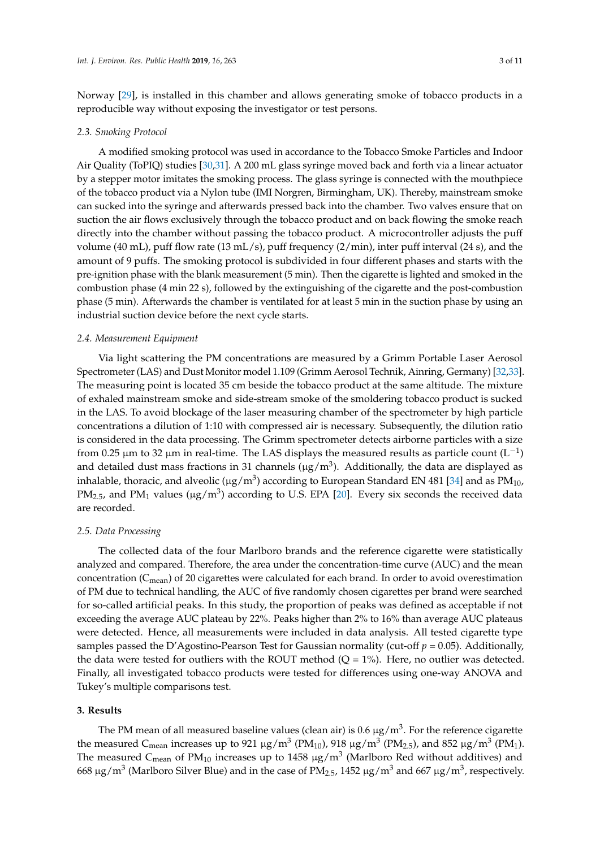Norway [\[29\]](#page-8-15), is installed in this chamber and allows generating smoke of tobacco products in a reproducible way without exposing the investigator or test persons.

#### *2.3. Smoking Protocol*

A modified smoking protocol was used in accordance to the Tobacco Smoke Particles and Indoor Air Quality (ToPIQ) studies [\[30](#page-8-16)[,31\]](#page-8-17). A 200 mL glass syringe moved back and forth via a linear actuator by a stepper motor imitates the smoking process. The glass syringe is connected with the mouthpiece of the tobacco product via a Nylon tube (IMI Norgren, Birmingham, UK). Thereby, mainstream smoke can sucked into the syringe and afterwards pressed back into the chamber. Two valves ensure that on suction the air flows exclusively through the tobacco product and on back flowing the smoke reach directly into the chamber without passing the tobacco product. A microcontroller adjusts the puff volume (40 mL), puff flow rate (13 mL/s), puff frequency (2/min), inter puff interval (24 s), and the amount of 9 puffs. The smoking protocol is subdivided in four different phases and starts with the pre-ignition phase with the blank measurement (5 min). Then the cigarette is lighted and smoked in the combustion phase (4 min 22 s), followed by the extinguishing of the cigarette and the post-combustion phase (5 min). Afterwards the chamber is ventilated for at least 5 min in the suction phase by using an industrial suction device before the next cycle starts.

## *2.4. Measurement Equipment*

Via light scattering the PM concentrations are measured by a Grimm Portable Laser Aerosol Spectrometer (LAS) and Dust Monitor model 1.109 (Grimm Aerosol Technik, Ainring, Germany) [\[32](#page-8-18)[,33\]](#page-8-19). The measuring point is located 35 cm beside the tobacco product at the same altitude. The mixture of exhaled mainstream smoke and side-stream smoke of the smoldering tobacco product is sucked in the LAS. To avoid blockage of the laser measuring chamber of the spectrometer by high particle concentrations a dilution of 1:10 with compressed air is necessary. Subsequently, the dilution ratio is considered in the data processing. The Grimm spectrometer detects airborne particles with a size from 0.25 μm to 32 μm in real-time. The LAS displays the measured results as particle count (L<sup>-1</sup>) and detailed dust mass fractions in 31 channels ( $\mu$ g/m<sup>3</sup>). Additionally, the data are displayed as inhalable, thoracic, and alveolic (µg/m $^3$ ) according to European Standard EN 481 [\[34\]](#page-8-20) and as PM $_{10}$ , PM<sub>2.5</sub>, and PM<sub>1</sub> values ( $\mu$ g/m<sup>3</sup>) according to U.S. EPA [\[20\]](#page-8-7). Every six seconds the received data are recorded.

#### *2.5. Data Processing*

The collected data of the four Marlboro brands and the reference cigarette were statistically analyzed and compared. Therefore, the area under the concentration-time curve (AUC) and the mean concentration ( $C_{mean}$ ) of 20 cigarettes were calculated for each brand. In order to avoid overestimation of PM due to technical handling, the AUC of five randomly chosen cigarettes per brand were searched for so-called artificial peaks. In this study, the proportion of peaks was defined as acceptable if not exceeding the average AUC plateau by 22%. Peaks higher than 2% to 16% than average AUC plateaus were detected. Hence, all measurements were included in data analysis. All tested cigarette type samples passed the D'Agostino-Pearson Test for Gaussian normality (cut-off *p* = 0.05). Additionally, the data were tested for outliers with the ROUT method  $(Q = 1\%)$ . Here, no outlier was detected. Finally, all investigated tobacco products were tested for differences using one-way ANOVA and Tukey's multiple comparisons test.

# **3. Results**

The PM mean of all measured baseline values (clean air) is 0.6  $\mu$ g/m $^3$ . For the reference cigarette the measured C<sub>mean</sub> increases up to 921  $\mu$ g/m<sup>3</sup> (PM<sub>10</sub>), 918  $\mu$ g/m<sup>3</sup> (PM<sub>2.5</sub>), and 852  $\mu$ g/m<sup>3</sup> (PM<sub>1</sub>). The measured  $\mathsf{C}_{\mathsf{mean}}$  of PM $_{10}$  increases up to 1458  $\mu \mathrm{g}/\mathrm{m}^3$  (Marlboro Red without additives) and 668 µg/m<sup>3</sup> (Marlboro Silver Blue) and in the case of PM<sub>2.5</sub>, 1452 µg/m<sup>3</sup> and 667 µg/m<sup>3</sup>, respectively.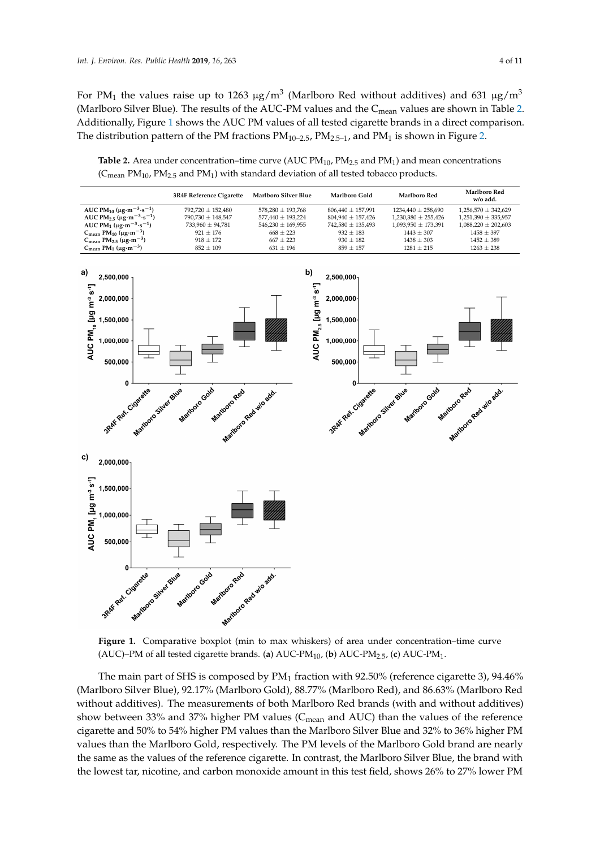For PM<sub>1</sub> the values raise up to 1263  $\mu$ g/m<sup>3</sup> (Marlboro Red without additives) and 631  $\mu$ g/m<sup>3</sup> (Marlboro Silver Blue). The results of the AUC-PM values and the  $C_{mean}$  values are shown in Table [2.](#page-3-0) Additionally, Figure [1](#page-3-1) shows the AUC PM values of all tested cigarette brands in a direct comparison. The distribution pattern of the PM fractions  $PM_{10-2.5}$  $PM_{10-2.5}$  $PM_{10-2.5}$ ,  $PM_{2.5-1}$ , and PM<sub>1</sub> is shown in Figure 2.

<span id="page-3-0"></span>**Table 2.** Area under concentration–time curve (AUC  $PM_{10}$ ,  $PM_{2.5}$  and  $PM_1$ ) and mean concentrations  $(\mathsf{C}_{\mathsf{mean}} \; \text{PM}_{10}$ ,  $\text{PM}_{2.5}$  and  $\text{PM}_{1}$ ) with standard deviation of all tested tobacco products. **Table 2.** Alea under concentration-time curve (AOC  $\Gamma$  M<sub>10</sub>,  $\Gamma$  M<sub>2.5</sub> and  $\Gamma$  M<sub>1</sub>) and in

<span id="page-3-1"></span>

**Figure 1.** Comparative boxplot (min to max whiskers) of area under concentration–time curve  $(AUC)$ –PM of all tested cigarette brands. (**a**)  $AUC-PM<sub>10</sub>$ , (**b**)  $AUC-PM<sub>2.5</sub>$ , (**c**)  $AUC-PM<sub>1</sub>$ .

The main part of SHS is composed by  $PM_1$  fraction with 92.50% (reference cigarette 3), 94.46% (Marlboro Silver Blue), 92.17% (Marlboro Gold), 88.77% (Marlboro Red), and 86.63% (Marlboro Red without additives). The measurements of both Marlboro Red brands (with and without additives) show between 33% and 37% higher PM values ( $C_{mean}$  and AUC) than the values of the reference cigarette and 50% to 54% higher PM values than the Marlboro Silver Blue and 32% to 36% higher PM values than the Marlboro Gold, respectively. The PM levels of the Marlboro Gold brand are nearly the same as the values of the reference cigarette. In contrast, the Marlboro Silver Blue, the brand with the lowest tar, nicotine, and carbon monoxide amount in this test field, shows 26% to 27% lower PM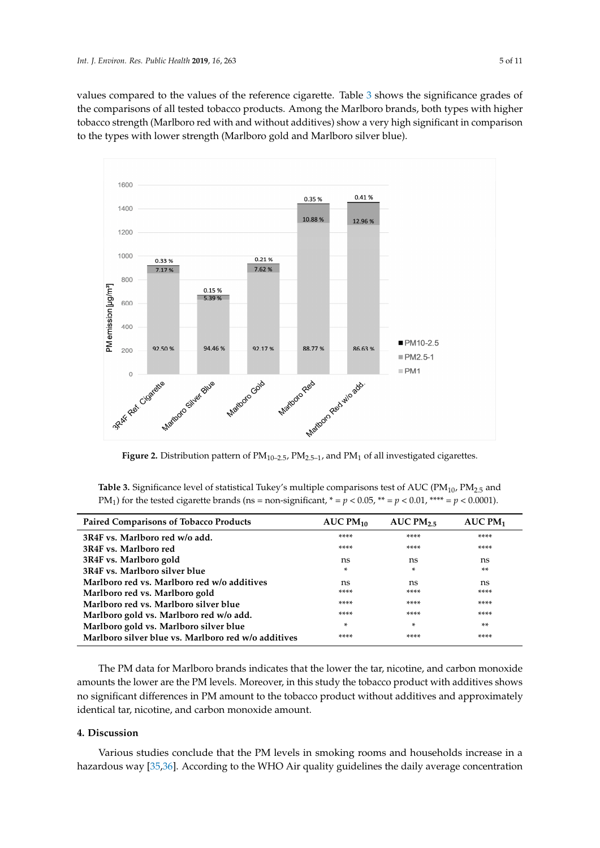values compared to the values of the reference cigarette. Table [3](#page-4-1) shows the significance grades of the comparisons of all tested tobacco products. Among the Marlboro brands, both types with higher tobacco strength (Marlboro red with and without additives) show a very high significant in comparison to the types with lower strength (Marlboro gold and Marlboro silver blue).

<span id="page-4-0"></span>

Figure 2. Distribution pattern of  $PM_{10-2.5}$ ,  $PM_{2.5-1}$ , and  $PM_1$  of all investigated cigarettes.

<span id="page-4-1"></span>The main part of SHS is composed by PM1 fraction with 92.50% (reference cigarette 3), 94.46% (reference cigaret **Table 3.** Significance level of statistical Tukey's multiple comparisons test of AUC ( $PM_{10}$ ,  $PM_{2.5}$  and  $PM_{2.5}$ ) PM<sub>1</sub>) for the tested cigarette brands (ns = non-significant,  $* = p < 0.05$ ,  $** = p < 0.01$ ,  $*** = p < 0.0001$ ).

| <b>Paired Comparisons of Tobacco Products</b>       | AUCPM <sub>10</sub> | AUC PM $_2$ | AUCPM <sub>1</sub> |
|-----------------------------------------------------|---------------------|-------------|--------------------|
| 3R4F vs. Marlboro red w/o add.                      | ****                | ****        | ****               |
| 3R4F vs. Marlboro red                               | ****                | ****        | ****               |
| 3R4F vs. Marlboro gold                              | ns                  | ns          | ns                 |
| 3R4F vs. Marlboro silver blue                       | *                   | *           | $***$              |
| Marlboro red vs. Marlboro red w/o additives         | ns                  | ns          | ns                 |
| Marlboro red vs. Marlboro gold                      | ****                | ****        | ****               |
| Marlboro red vs. Marlboro silver blue               | ****                | ****        | ****               |
| Marlboro gold vs. Marlboro red w/o add.             | ****                | ****        | ****               |
| Marlboro gold vs. Marlboro silver blue              | *                   | *           | $***$              |
| Marlboro silver blue vs. Marlboro red w/o additives | ****                | ****        | ****               |

The PM data for Marlboro brands indicates that the lower the tar, nicotine, and carbon monoxide amounts the lower are the PM levels. Moreover, in this study the tobacco product with additives shows<br>All the lower are the PM levels. Moreover, in this study the tobacco product with additives shows **3R4F vs. Marlboro red w/o add.** \*\*\*\* \*\*\*\* \*\*\*\* no significant differences in PM amount to the tobacco product without additives and approximately identical tar, nicotine, and carbon monoxide amount.

#### **3R4F vs. Marlboro gold** ns ns ns **4. Discussion**

Various studies conclude that the PM levels in smoking rooms and households increase in a hazardous way [\[35,](#page-9-0)[36\]](#page-9-1). According to the WHO Air quality guidelines the daily average concentration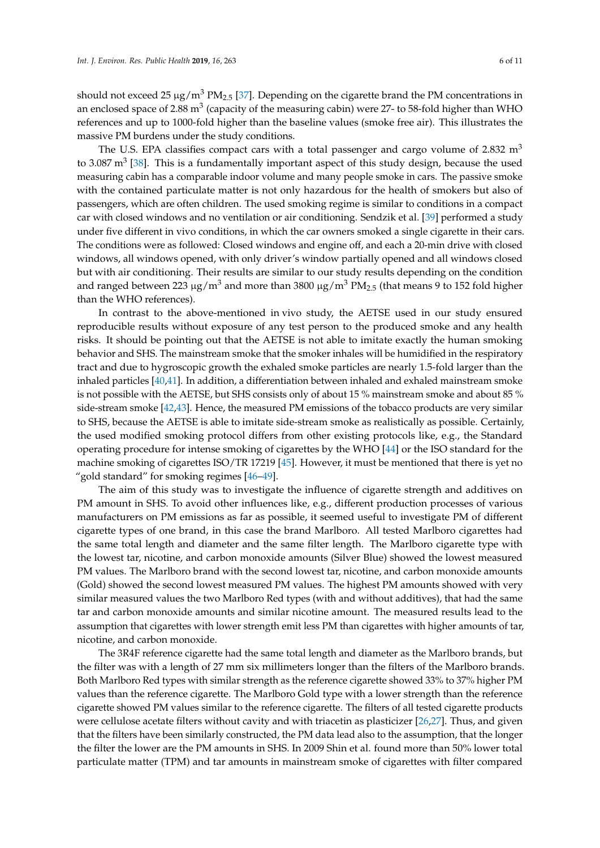should not exceed 25  $\mu$ g/m<sup>3</sup> PM<sub>2.5</sub> [\[37\]](#page-9-2). Depending on the cigarette brand the PM concentrations in an enclosed space of 2.88  $\mathrm{m}^{3}$  (capacity of the measuring cabin) were 27- to 58-fold higher than WHO references and up to 1000-fold higher than the baseline values (smoke free air). This illustrates the massive PM burdens under the study conditions.

The U.S. EPA classifies compact cars with a total passenger and cargo volume of 2.832  $m<sup>3</sup>$ to 3.087 m<sup>3</sup> [\[38\]](#page-9-3). This is a fundamentally important aspect of this study design, because the used measuring cabin has a comparable indoor volume and many people smoke in cars. The passive smoke with the contained particulate matter is not only hazardous for the health of smokers but also of passengers, which are often children. The used smoking regime is similar to conditions in a compact car with closed windows and no ventilation or air conditioning. Sendzik et al. [\[39\]](#page-9-4) performed a study under five different in vivo conditions, in which the car owners smoked a single cigarette in their cars. The conditions were as followed: Closed windows and engine off, and each a 20-min drive with closed windows, all windows opened, with only driver's window partially opened and all windows closed but with air conditioning. Their results are similar to our study results depending on the condition and ranged between 223  $\mu$ g/m<sup>3</sup> and more than 3800  $\mu$ g/m<sup>3</sup> PM<sub>2.5</sub> (that means 9 to 152 fold higher than the WHO references).

In contrast to the above-mentioned in vivo study, the AETSE used in our study ensured reproducible results without exposure of any test person to the produced smoke and any health risks. It should be pointing out that the AETSE is not able to imitate exactly the human smoking behavior and SHS. The mainstream smoke that the smoker inhales will be humidified in the respiratory tract and due to hygroscopic growth the exhaled smoke particles are nearly 1.5-fold larger than the inhaled particles [\[40,](#page-9-5)[41\]](#page-9-6). In addition, a differentiation between inhaled and exhaled mainstream smoke is not possible with the AETSE, but SHS consists only of about 15 % mainstream smoke and about 85 % side-stream smoke [\[42,](#page-9-7)[43\]](#page-9-8). Hence, the measured PM emissions of the tobacco products are very similar to SHS, because the AETSE is able to imitate side-stream smoke as realistically as possible. Certainly, the used modified smoking protocol differs from other existing protocols like, e.g., the Standard operating procedure for intense smoking of cigarettes by the WHO [\[44\]](#page-9-9) or the ISO standard for the machine smoking of cigarettes ISO/TR 17219 [\[45\]](#page-9-10). However, it must be mentioned that there is yet no "gold standard" for smoking regimes [\[46–](#page-9-11)[49\]](#page-9-12).

The aim of this study was to investigate the influence of cigarette strength and additives on PM amount in SHS. To avoid other influences like, e.g., different production processes of various manufacturers on PM emissions as far as possible, it seemed useful to investigate PM of different cigarette types of one brand, in this case the brand Marlboro. All tested Marlboro cigarettes had the same total length and diameter and the same filter length. The Marlboro cigarette type with the lowest tar, nicotine, and carbon monoxide amounts (Silver Blue) showed the lowest measured PM values. The Marlboro brand with the second lowest tar, nicotine, and carbon monoxide amounts (Gold) showed the second lowest measured PM values. The highest PM amounts showed with very similar measured values the two Marlboro Red types (with and without additives), that had the same tar and carbon monoxide amounts and similar nicotine amount. The measured results lead to the assumption that cigarettes with lower strength emit less PM than cigarettes with higher amounts of tar, nicotine, and carbon monoxide.

The 3R4F reference cigarette had the same total length and diameter as the Marlboro brands, but the filter was with a length of 27 mm six millimeters longer than the filters of the Marlboro brands. Both Marlboro Red types with similar strength as the reference cigarette showed 33% to 37% higher PM values than the reference cigarette. The Marlboro Gold type with a lower strength than the reference cigarette showed PM values similar to the reference cigarette. The filters of all tested cigarette products were cellulose acetate filters without cavity and with triacetin as plasticizer [\[26](#page-8-12)[,27\]](#page-8-13). Thus, and given that the filters have been similarly constructed, the PM data lead also to the assumption, that the longer the filter the lower are the PM amounts in SHS. In 2009 Shin et al. found more than 50% lower total particulate matter (TPM) and tar amounts in mainstream smoke of cigarettes with filter compared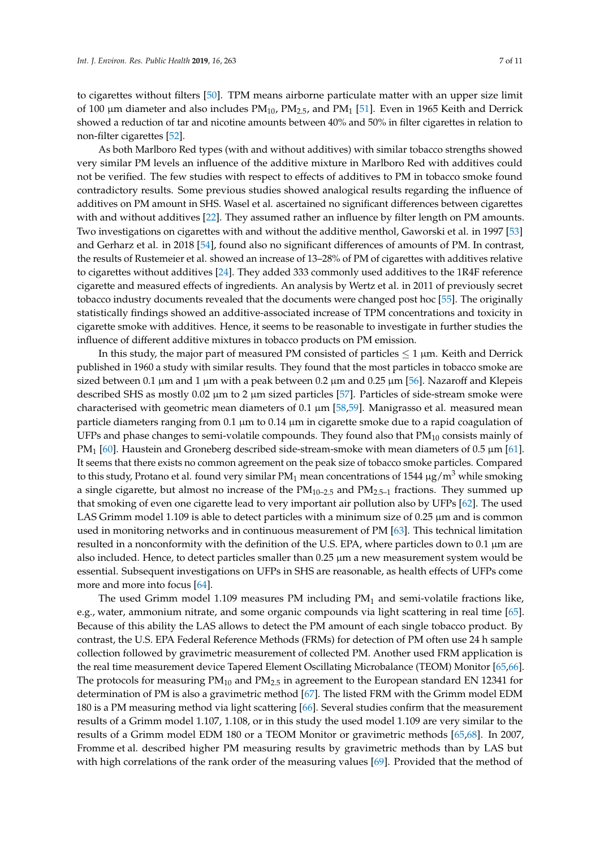to cigarettes without filters [\[50\]](#page-9-13). TPM means airborne particulate matter with an upper size limit of 100  $\mu$ m diameter and also includes PM<sub>10</sub>, PM<sub>2.5</sub>, and PM<sub>1</sub> [\[51\]](#page-9-14). Even in 1965 Keith and Derrick showed a reduction of tar and nicotine amounts between 40% and 50% in filter cigarettes in relation to non-filter cigarettes [\[52\]](#page-9-15).

As both Marlboro Red types (with and without additives) with similar tobacco strengths showed very similar PM levels an influence of the additive mixture in Marlboro Red with additives could not be verified. The few studies with respect to effects of additives to PM in tobacco smoke found contradictory results. Some previous studies showed analogical results regarding the influence of additives on PM amount in SHS. Wasel et al. ascertained no significant differences between cigarettes with and without additives [\[22\]](#page-8-21). They assumed rather an influence by filter length on PM amounts. Two investigations on cigarettes with and without the additive menthol, Gaworski et al. in 1997 [\[53\]](#page-9-16) and Gerharz et al. in 2018 [\[54\]](#page-9-17), found also no significant differences of amounts of PM. In contrast, the results of Rustemeier et al. showed an increase of 13–28% of PM of cigarettes with additives relative to cigarettes without additives [\[24\]](#page-8-10). They added 333 commonly used additives to the 1R4F reference cigarette and measured effects of ingredients. An analysis by Wertz et al. in 2011 of previously secret tobacco industry documents revealed that the documents were changed post hoc [\[55\]](#page-9-18). The originally statistically findings showed an additive-associated increase of TPM concentrations and toxicity in cigarette smoke with additives. Hence, it seems to be reasonable to investigate in further studies the influence of different additive mixtures in tobacco products on PM emission.

In this study, the major part of measured PM consisted of particles  $\leq 1 \,\mu m$ . Keith and Derrick published in 1960 a study with similar results. They found that the most particles in tobacco smoke are sized between 0.1  $\mu$ m and 1  $\mu$ m with a peak between 0.2  $\mu$ m and 0.25  $\mu$ m [\[56\]](#page-10-0). Nazaroff and Klepeis described SHS as mostly  $0.02 \mu m$  to 2  $\mu m$  sized particles [\[57\]](#page-10-1). Particles of side-stream smoke were characterised with geometric mean diameters of 0.1  $\mu$ m [\[58,](#page-10-2)[59\]](#page-10-3). Manigrasso et al. measured mean particle diameters ranging from 0.1 µm to 0.14 µm in cigarette smoke due to a rapid coagulation of UFPs and phase changes to semi-volatile compounds. They found also that  $PM_{10}$  consists mainly of  $PM<sub>1</sub>$  [\[60\]](#page-10-4). Haustein and Groneberg described side-stream-smoke with mean diameters of 0.5  $\mu$ m [\[61\]](#page-10-5). It seems that there exists no common agreement on the peak size of tobacco smoke particles. Compared to this study, Protano et al. found very similar  $PM_1$  mean concentrations of 1544  $\mu$ g/m<sup>3</sup> while smoking a single cigarette, but almost no increase of the  $PM<sub>10-2.5</sub>$  and  $PM<sub>2.5-1</sub>$  fractions. They summed up that smoking of even one cigarette lead to very important air pollution also by UFPs [\[62\]](#page-10-6). The used LAS Grimm model 1.109 is able to detect particles with a minimum size of  $0.25 \mu m$  and is common used in monitoring networks and in continuous measurement of PM [\[63\]](#page-10-7). This technical limitation resulted in a nonconformity with the definition of the U.S. EPA, where particles down to 0.1  $\mu$ m are also included. Hence, to detect particles smaller than  $0.25 \mu m$  a new measurement system would be essential. Subsequent investigations on UFPs in SHS are reasonable, as health effects of UFPs come more and more into focus [\[64\]](#page-10-8).

The used Grimm model  $1.109$  measures PM including PM<sub>1</sub> and semi-volatile fractions like, e.g., water, ammonium nitrate, and some organic compounds via light scattering in real time [\[65\]](#page-10-9). Because of this ability the LAS allows to detect the PM amount of each single tobacco product. By contrast, the U.S. EPA Federal Reference Methods (FRMs) for detection of PM often use 24 h sample collection followed by gravimetric measurement of collected PM. Another used FRM application is the real time measurement device Tapered Element Oscillating Microbalance (TEOM) Monitor [\[65](#page-10-9)[,66\]](#page-10-10). The protocols for measuring  $PM_{10}$  and  $PM_{2.5}$  in agreement to the European standard EN 12341 for determination of PM is also a gravimetric method [\[67\]](#page-10-11). The listed FRM with the Grimm model EDM 180 is a PM measuring method via light scattering [\[66\]](#page-10-10). Several studies confirm that the measurement results of a Grimm model 1.107, 1.108, or in this study the used model 1.109 are very similar to the results of a Grimm model EDM 180 or a TEOM Monitor or gravimetric methods [\[65](#page-10-9)[,68\]](#page-10-12). In 2007, Fromme et al. described higher PM measuring results by gravimetric methods than by LAS but with high correlations of the rank order of the measuring values [\[69\]](#page-10-13). Provided that the method of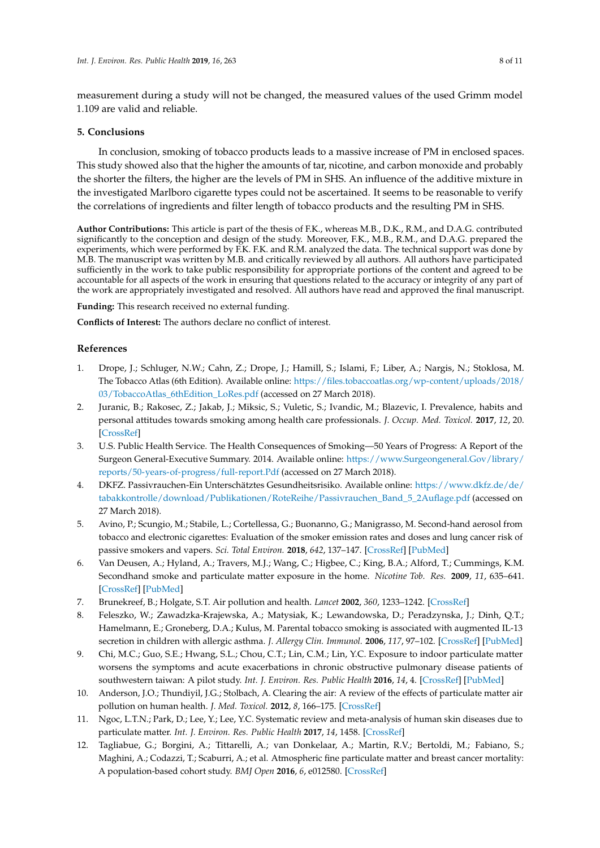measurement during a study will not be changed, the measured values of the used Grimm model 1.109 are valid and reliable.

# **5. Conclusions**

In conclusion, smoking of tobacco products leads to a massive increase of PM in enclosed spaces. This study showed also that the higher the amounts of tar, nicotine, and carbon monoxide and probably the shorter the filters, the higher are the levels of PM in SHS. An influence of the additive mixture in the investigated Marlboro cigarette types could not be ascertained. It seems to be reasonable to verify the correlations of ingredients and filter length of tobacco products and the resulting PM in SHS.

**Author Contributions:** This article is part of the thesis of F.K., whereas M.B., D.K., R.M., and D.A.G. contributed significantly to the conception and design of the study. Moreover, F.K., M.B., R.M., and D.A.G. prepared the experiments, which were performed by F.K. F.K. and R.M. analyzed the data. The technical support was done by M.B. The manuscript was written by M.B. and critically reviewed by all authors. All authors have participated sufficiently in the work to take public responsibility for appropriate portions of the content and agreed to be accountable for all aspects of the work in ensuring that questions related to the accuracy or integrity of any part of the work are appropriately investigated and resolved. All authors have read and approved the final manuscript.

**Funding:** This research received no external funding.

**Conflicts of Interest:** The authors declare no conflict of interest.

# **References**

- <span id="page-7-0"></span>1. Drope, J.; Schluger, N.W.; Cahn, Z.; Drope, J.; Hamill, S.; Islami, F.; Liber, A.; Nargis, N.; Stoklosa, M. The Tobacco Atlas (6th Edition). Available online: [https://files.tobaccoatlas.org/wp-content/uploads/2018/](https://files.tobaccoatlas.org/wp-content/uploads/2018/03/TobaccoAtlas_6thEdition_LoRes.pdf) [03/TobaccoAtlas\\_6thEdition\\_LoRes.pdf](https://files.tobaccoatlas.org/wp-content/uploads/2018/03/TobaccoAtlas_6thEdition_LoRes.pdf) (accessed on 27 March 2018).
- <span id="page-7-1"></span>2. Juranic, B.; Rakosec, Z.; Jakab, J.; Miksic, S.; Vuletic, S.; Ivandic, M.; Blazevic, I. Prevalence, habits and personal attitudes towards smoking among health care professionals. *J. Occup. Med. Toxicol.* **2017**, *12*, 20. [\[CrossRef\]](http://dx.doi.org/10.1186/s12995-017-0166-5)
- <span id="page-7-2"></span>3. U.S. Public Health Service. The Health Consequences of Smoking—50 Years of Progress: A Report of the Surgeon General-Executive Summary. 2014. Available online: [https://www.Surgeongeneral.Gov/library/](https://www.Surgeongeneral.Gov/library/reports/50-years-of-progress/full-report.Pdf) [reports/50-years-of-progress/full-report.Pdf](https://www.Surgeongeneral.Gov/library/reports/50-years-of-progress/full-report.Pdf) (accessed on 27 March 2018).
- <span id="page-7-3"></span>4. DKFZ. Passivrauchen-Ein Unterschätztes Gesundheitsrisiko. Available online: [https://www.dkfz.de/de/](https://www.dkfz.de/de/tabakkontrolle/download/Publikationen/RoteReihe/Passivrauchen_Band_5_2Auflage.pdf) [tabakkontrolle/download/Publikationen/RoteReihe/Passivrauchen\\_Band\\_5\\_2Auflage.pdf](https://www.dkfz.de/de/tabakkontrolle/download/Publikationen/RoteReihe/Passivrauchen_Band_5_2Auflage.pdf) (accessed on 27 March 2018).
- <span id="page-7-4"></span>5. Avino, P.; Scungio, M.; Stabile, L.; Cortellessa, G.; Buonanno, G.; Manigrasso, M. Second-hand aerosol from tobacco and electronic cigarettes: Evaluation of the smoker emission rates and doses and lung cancer risk of passive smokers and vapers. *Sci. Total Environ.* **2018**, *642*, 137–147. [\[CrossRef\]](http://dx.doi.org/10.1016/j.scitotenv.2018.06.059) [\[PubMed\]](http://www.ncbi.nlm.nih.gov/pubmed/29894873)
- <span id="page-7-5"></span>6. Van Deusen, A.; Hyland, A.; Travers, M.J.; Wang, C.; Higbee, C.; King, B.A.; Alford, T.; Cummings, K.M. Secondhand smoke and particulate matter exposure in the home. *Nicotine Tob. Res.* **2009**, *11*, 635–641. [\[CrossRef\]](http://dx.doi.org/10.1093/ntr/ntp018) [\[PubMed\]](http://www.ncbi.nlm.nih.gov/pubmed/19351784)
- <span id="page-7-6"></span>7. Brunekreef, B.; Holgate, S.T. Air pollution and health. *Lancet* **2002**, *360*, 1233–1242. [\[CrossRef\]](http://dx.doi.org/10.1016/S0140-6736(02)11274-8)
- 8. Feleszko, W.; Zawadzka-Krajewska, A.; Matysiak, K.; Lewandowska, D.; Peradzynska, J.; Dinh, Q.T.; Hamelmann, E.; Groneberg, D.A.; Kulus, M. Parental tobacco smoking is associated with augmented IL-13 secretion in children with allergic asthma. *J. Allergy Clin. Immunol.* **2006**, *117*, 97–102. [\[CrossRef\]](http://dx.doi.org/10.1016/j.jaci.2005.09.008) [\[PubMed\]](http://www.ncbi.nlm.nih.gov/pubmed/16387591)
- <span id="page-7-7"></span>9. Chi, M.C.; Guo, S.E.; Hwang, S.L.; Chou, C.T.; Lin, C.M.; Lin, Y.C. Exposure to indoor particulate matter worsens the symptoms and acute exacerbations in chronic obstructive pulmonary disease patients of southwestern taiwan: A pilot study. *Int. J. Environ. Res. Public Health* **2016**, *14*, 4. [\[CrossRef\]](http://dx.doi.org/10.3390/ijerph14010004) [\[PubMed\]](http://www.ncbi.nlm.nih.gov/pubmed/28025521)
- <span id="page-7-8"></span>10. Anderson, J.O.; Thundiyil, J.G.; Stolbach, A. Clearing the air: A review of the effects of particulate matter air pollution on human health. *J. Med. Toxicol.* **2012**, *8*, 166–175. [\[CrossRef\]](http://dx.doi.org/10.1007/s13181-011-0203-1)
- <span id="page-7-9"></span>11. Ngoc, L.T.N.; Park, D.; Lee, Y.; Lee, Y.C. Systematic review and meta-analysis of human skin diseases due to particulate matter. *Int. J. Environ. Res. Public Health* **2017**, *14*, 1458. [\[CrossRef\]](http://dx.doi.org/10.3390/ijerph14121458)
- <span id="page-7-10"></span>12. Tagliabue, G.; Borgini, A.; Tittarelli, A.; van Donkelaar, A.; Martin, R.V.; Bertoldi, M.; Fabiano, S.; Maghini, A.; Codazzi, T.; Scaburri, A.; et al. Atmospheric fine particulate matter and breast cancer mortality: A population-based cohort study. *BMJ Open* **2016**, *6*, e012580. [\[CrossRef\]](http://dx.doi.org/10.1136/bmjopen-2016-012580)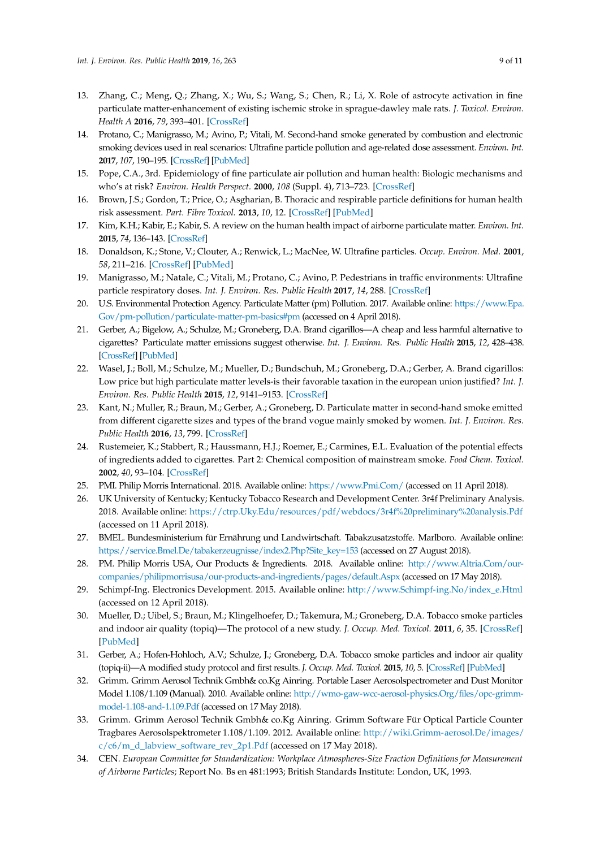- <span id="page-8-0"></span>13. Zhang, C.; Meng, Q.; Zhang, X.; Wu, S.; Wang, S.; Chen, R.; Li, X. Role of astrocyte activation in fine particulate matter-enhancement of existing ischemic stroke in sprague-dawley male rats. *J. Toxicol. Environ. Health A* **2016**, *79*, 393–401. [\[CrossRef\]](http://dx.doi.org/10.1080/15287394.2016.1176615)
- <span id="page-8-1"></span>14. Protano, C.; Manigrasso, M.; Avino, P.; Vitali, M. Second-hand smoke generated by combustion and electronic smoking devices used in real scenarios: Ultrafine particle pollution and age-related dose assessment. *Environ. Int.* **2017**, *107*, 190–195. [\[CrossRef\]](http://dx.doi.org/10.1016/j.envint.2017.07.014) [\[PubMed\]](http://www.ncbi.nlm.nih.gov/pubmed/28750224)
- <span id="page-8-2"></span>15. Pope, C.A., 3rd. Epidemiology of fine particulate air pollution and human health: Biologic mechanisms and who's at risk? *Environ. Health Perspect.* **2000**, *108* (Suppl. 4), 713–723. [\[CrossRef\]](http://dx.doi.org/10.1289/ehp.108-1637679)
- <span id="page-8-3"></span>16. Brown, J.S.; Gordon, T.; Price, O.; Asgharian, B. Thoracic and respirable particle definitions for human health risk assessment. *Part. Fibre Toxicol.* **2013**, *10*, 12. [\[CrossRef\]](http://dx.doi.org/10.1186/1743-8977-10-12) [\[PubMed\]](http://www.ncbi.nlm.nih.gov/pubmed/23575443)
- <span id="page-8-4"></span>17. Kim, K.H.; Kabir, E.; Kabir, S. A review on the human health impact of airborne particulate matter. *Environ. Int.* **2015**, *74*, 136–143. [\[CrossRef\]](http://dx.doi.org/10.1016/j.envint.2014.10.005)
- <span id="page-8-5"></span>18. Donaldson, K.; Stone, V.; Clouter, A.; Renwick, L.; MacNee, W. Ultrafine particles. *Occup. Environ. Med.* **2001**, *58*, 211–216. [\[CrossRef\]](http://dx.doi.org/10.1136/oem.58.3.211) [\[PubMed\]](http://www.ncbi.nlm.nih.gov/pubmed/11171936)
- <span id="page-8-6"></span>19. Manigrasso, M.; Natale, C.; Vitali, M.; Protano, C.; Avino, P. Pedestrians in traffic environments: Ultrafine particle respiratory doses. *Int. J. Environ. Res. Public Health* **2017**, *14*, 288. [\[CrossRef\]](http://dx.doi.org/10.3390/ijerph14030288)
- <span id="page-8-7"></span>20. U.S. Environmental Protection Agency. Particulate Matter (pm) Pollution. 2017. Available online: [https://www.Epa.](https://www.Epa.Gov/pm-pollution/particulate-matter-pm-basics#pm) [Gov/pm-pollution/particulate-matter-pm-basics#pm](https://www.Epa.Gov/pm-pollution/particulate-matter-pm-basics#pm) (accessed on 4 April 2018).
- <span id="page-8-8"></span>21. Gerber, A.; Bigelow, A.; Schulze, M.; Groneberg, D.A. Brand cigarillos—A cheap and less harmful alternative to cigarettes? Particulate matter emissions suggest otherwise. *Int. J. Environ. Res. Public Health* **2015**, *12*, 428–438. [\[CrossRef\]](http://dx.doi.org/10.3390/ijerph120100428) [\[PubMed\]](http://www.ncbi.nlm.nih.gov/pubmed/25568972)
- <span id="page-8-21"></span>22. Wasel, J.; Boll, M.; Schulze, M.; Mueller, D.; Bundschuh, M.; Groneberg, D.A.; Gerber, A. Brand cigarillos: Low price but high particulate matter levels-is their favorable taxation in the european union justified? *Int. J. Environ. Res. Public Health* **2015**, *12*, 9141–9153. [\[CrossRef\]](http://dx.doi.org/10.3390/ijerph120809141)
- <span id="page-8-9"></span>23. Kant, N.; Muller, R.; Braun, M.; Gerber, A.; Groneberg, D. Particulate matter in second-hand smoke emitted from different cigarette sizes and types of the brand vogue mainly smoked by women. *Int. J. Environ. Res. Public Health* **2016**, *13*, 799. [\[CrossRef\]](http://dx.doi.org/10.3390/ijerph13080799)
- <span id="page-8-10"></span>24. Rustemeier, K.; Stabbert, R.; Haussmann, H.J.; Roemer, E.; Carmines, E.L. Evaluation of the potential effects of ingredients added to cigarettes. Part 2: Chemical composition of mainstream smoke. *Food Chem. Toxicol.* **2002**, *40*, 93–104. [\[CrossRef\]](http://dx.doi.org/10.1016/S0278-6915(01)00085-0)
- <span id="page-8-12"></span><span id="page-8-11"></span>25. PMI. Philip Morris International. 2018. Available online: <https://www.Pmi.Com/> (accessed on 11 April 2018).
- 26. UK University of Kentucky; Kentucky Tobacco Research and Development Center. 3r4f Preliminary Analysis. 2018. Available online: <https://ctrp.Uky.Edu/resources/pdf/webdocs/3r4f%20preliminary%20analysis.Pdf> (accessed on 11 April 2018).
- <span id="page-8-13"></span>27. BMEL. Bundesministerium für Ernährung und Landwirtschaft. Tabakzusatzstoffe. Marlboro. Available online: [https://service.Bmel.De/tabakerzeugnisse/index2.Php?Site\\_key=153](https://service.Bmel.De/tabakerzeugnisse/index2.Php?Site_key=153) (accessed on 27 August 2018).
- <span id="page-8-14"></span>28. PM. Philip Morris USA, Our Products & Ingredients. 2018. Available online: [http://www.Altria.Com/our](http://www.Altria.Com/our-companies/philipmorrisusa/our-products-and-ingredients/pages/default.Aspx)[companies/philipmorrisusa/our-products-and-ingredients/pages/default.Aspx](http://www.Altria.Com/our-companies/philipmorrisusa/our-products-and-ingredients/pages/default.Aspx) (accessed on 17 May 2018).
- <span id="page-8-15"></span>29. Schimpf-Ing. Electronics Development. 2015. Available online: [http://www.Schimpf-ing.No/index\\_e.Html](http://www.Schimpf-ing.No/index_e.Html) (accessed on 12 April 2018).
- <span id="page-8-16"></span>30. Mueller, D.; Uibel, S.; Braun, M.; Klingelhoefer, D.; Takemura, M.; Groneberg, D.A. Tobacco smoke particles and indoor air quality (topiq)—The protocol of a new study. *J. Occup. Med. Toxicol.* **2011**, *6*, 35. [\[CrossRef\]](http://dx.doi.org/10.1186/1745-6673-6-35) [\[PubMed\]](http://www.ncbi.nlm.nih.gov/pubmed/22188808)
- <span id="page-8-17"></span>31. Gerber, A.; Hofen-Hohloch, A.V.; Schulze, J.; Groneberg, D.A. Tobacco smoke particles and indoor air quality (topiq-ii)—A modified study protocol and first results. *J. Occup. Med. Toxicol.* **2015**, *10*, 5. [\[CrossRef\]](http://dx.doi.org/10.1186/s12995-015-0047-8) [\[PubMed\]](http://www.ncbi.nlm.nih.gov/pubmed/25717342)
- <span id="page-8-18"></span>32. Grimm. Grimm Aerosol Technik Gmbh& co.Kg Ainring. Portable Laser Aerosolspectrometer and Dust Monitor Model 1.108/1.109 (Manual). 2010. Available online: [http://wmo-gaw-wcc-aerosol-physics.Org/files/opc-grimm](http://wmo-gaw-wcc-aerosol-physics.Org/files/opc-grimm-model-1.108-and-1.109.Pdf)[model-1.108-and-1.109.Pdf](http://wmo-gaw-wcc-aerosol-physics.Org/files/opc-grimm-model-1.108-and-1.109.Pdf) (accessed on 17 May 2018).
- <span id="page-8-19"></span>33. Grimm. Grimm Aerosol Technik Gmbh& co.Kg Ainring. Grimm Software Für Optical Particle Counter Tragbares Aerosolspektrometer 1.108/1.109. 2012. Available online: [http://wiki.Grimm-aerosol.De/images/](http://wiki.Grimm-aerosol.De/images/c/c6/m_d_labview_software_rev_2p1.Pdf)  $c/c6/m$  d\_labview\_software\_rev\_2p1.Pdf (accessed on 17 May 2018).
- <span id="page-8-20"></span>34. CEN. *European Committee for Standardization: Workplace Atmospheres-Size Fraction Definitions for Measurement of Airborne Particles*; Report No. Bs en 481:1993; British Standards Institute: London, UK, 1993.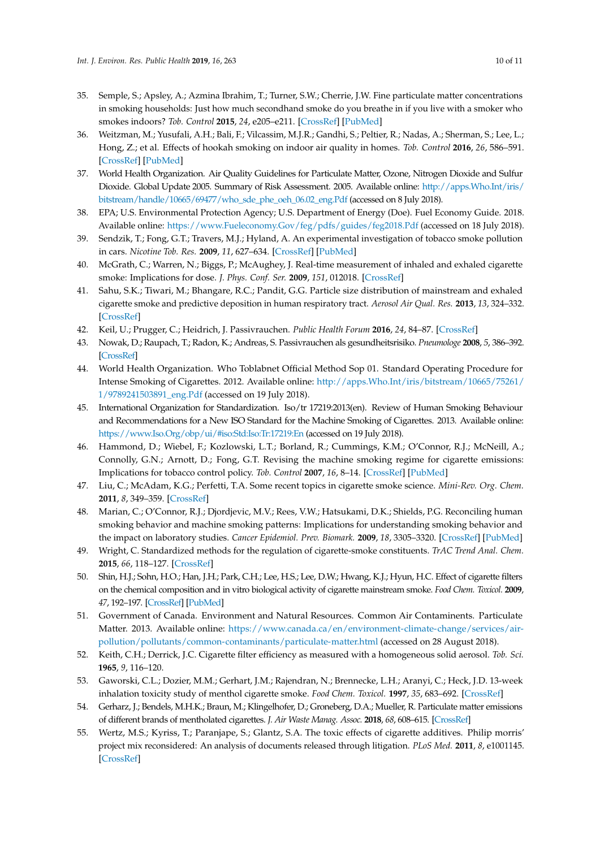- <span id="page-9-0"></span>35. Semple, S.; Apsley, A.; Azmina Ibrahim, T.; Turner, S.W.; Cherrie, J.W. Fine particulate matter concentrations in smoking households: Just how much secondhand smoke do you breathe in if you live with a smoker who smokes indoors? *Tob. Control* **2015**, *24*, e205–e211. [\[CrossRef\]](http://dx.doi.org/10.1136/tobaccocontrol-2014-051635) [\[PubMed\]](http://www.ncbi.nlm.nih.gov/pubmed/25331379)
- <span id="page-9-1"></span>36. Weitzman, M.; Yusufali, A.H.; Bali, F.; Vilcassim, M.J.R.; Gandhi, S.; Peltier, R.; Nadas, A.; Sherman, S.; Lee, L.; Hong, Z.; et al. Effects of hookah smoking on indoor air quality in homes. *Tob. Control* **2016**, *26*, 586–591. [\[CrossRef\]](http://dx.doi.org/10.1136/tobaccocontrol-2016-053165) [\[PubMed\]](http://www.ncbi.nlm.nih.gov/pubmed/27798320)
- <span id="page-9-2"></span>37. World Health Organization. Air Quality Guidelines for Particulate Matter, Ozone, Nitrogen Dioxide and Sulfur Dioxide. Global Update 2005. Summary of Risk Assessment. 2005. Available online: [http://apps.Who.Int/iris/](http://apps.Who.Int/iris/bitstream/handle/10665/69477/who_sde_phe_oeh_06.02_eng.Pdf) [bitstream/handle/10665/69477/who\\_sde\\_phe\\_oeh\\_06.02\\_eng.Pdf](http://apps.Who.Int/iris/bitstream/handle/10665/69477/who_sde_phe_oeh_06.02_eng.Pdf) (accessed on 8 July 2018).
- <span id="page-9-3"></span>38. EPA; U.S. Environmental Protection Agency; U.S. Department of Energy (Doe). Fuel Economy Guide. 2018. Available online: <https://www.Fueleconomy.Gov/feg/pdfs/guides/feg2018.Pdf> (accessed on 18 July 2018).
- <span id="page-9-4"></span>39. Sendzik, T.; Fong, G.T.; Travers, M.J.; Hyland, A. An experimental investigation of tobacco smoke pollution in cars. *Nicotine Tob. Res.* **2009**, *11*, 627–634. [\[CrossRef\]](http://dx.doi.org/10.1093/ntr/ntp019) [\[PubMed\]](http://www.ncbi.nlm.nih.gov/pubmed/19351785)
- <span id="page-9-5"></span>40. McGrath, C.; Warren, N.; Biggs, P.; McAughey, J. Real-time measurement of inhaled and exhaled cigarette smoke: Implications for dose. *J. Phys. Conf. Ser.* **2009**, *151*, 012018. [\[CrossRef\]](http://dx.doi.org/10.1088/1742-6596/151/1/012018)
- <span id="page-9-6"></span>41. Sahu, S.K.; Tiwari, M.; Bhangare, R.C.; Pandit, G.G. Particle size distribution of mainstream and exhaled cigarette smoke and predictive deposition in human respiratory tract. *Aerosol Air Qual. Res.* **2013**, *13*, 324–332. [\[CrossRef\]](http://dx.doi.org/10.4209/aaqr.2012.02.0041)
- <span id="page-9-7"></span>42. Keil, U.; Prugger, C.; Heidrich, J. Passivrauchen. *Public Health Forum* **2016**, *24*, 84–87. [\[CrossRef\]](http://dx.doi.org/10.1515/pubhef-2016-0027)
- <span id="page-9-8"></span>43. Nowak, D.; Raupach, T.; Radon, K.; Andreas, S. Passivrauchen als gesundheitsrisiko. *Pneumologe* **2008**, *5*, 386–392. [\[CrossRef\]](http://dx.doi.org/10.1007/s10405-008-0254-4)
- <span id="page-9-9"></span>44. World Health Organization. Who Toblabnet Official Method Sop 01. Standard Operating Procedure for Intense Smoking of Cigarettes. 2012. Available online: [http://apps.Who.Int/iris/bitstream/10665/75261/](http://apps.Who.Int/iris/bitstream/10665/75261/1/9789241503891_eng.Pdf) [1/9789241503891\\_eng.Pdf](http://apps.Who.Int/iris/bitstream/10665/75261/1/9789241503891_eng.Pdf) (accessed on 19 July 2018).
- <span id="page-9-10"></span>45. International Organization for Standardization. Iso/tr 17219:2013(en). Review of Human Smoking Behaviour and Recommendations for a New ISO Standard for the Machine Smoking of Cigarettes. 2013. Available online: <https://www.Iso.Org/obp/ui/#iso:Std:Iso:Tr:17219:En> (accessed on 19 July 2018).
- <span id="page-9-11"></span>46. Hammond, D.; Wiebel, F.; Kozlowski, L.T.; Borland, R.; Cummings, K.M.; O'Connor, R.J.; McNeill, A.; Connolly, G.N.; Arnott, D.; Fong, G.T. Revising the machine smoking regime for cigarette emissions: Implications for tobacco control policy. *Tob. Control* **2007**, *16*, 8–14. [\[CrossRef\]](http://dx.doi.org/10.1136/tc.2005.015297) [\[PubMed\]](http://www.ncbi.nlm.nih.gov/pubmed/17297067)
- 47. Liu, C.; McAdam, K.G.; Perfetti, T.A. Some recent topics in cigarette smoke science. *Mini-Rev. Org. Chem.* **2011**, *8*, 349–359. [\[CrossRef\]](http://dx.doi.org/10.2174/157019311797440272)
- 48. Marian, C.; O'Connor, R.J.; Djordjevic, M.V.; Rees, V.W.; Hatsukami, D.K.; Shields, P.G. Reconciling human smoking behavior and machine smoking patterns: Implications for understanding smoking behavior and the impact on laboratory studies. *Cancer Epidemiol. Prev. Biomark.* **2009**, *18*, 3305–3320. [\[CrossRef\]](http://dx.doi.org/10.1158/1055-9965.EPI-09-1014) [\[PubMed\]](http://www.ncbi.nlm.nih.gov/pubmed/19959678)
- <span id="page-9-12"></span>49. Wright, C. Standardized methods for the regulation of cigarette-smoke constituents. *TrAC Trend Anal. Chem.* **2015**, *66*, 118–127. [\[CrossRef\]](http://dx.doi.org/10.1016/j.trac.2014.11.011)
- <span id="page-9-13"></span>50. Shin, H.J.; Sohn, H.O.; Han, J.H.; Park, C.H.; Lee, H.S.; Lee, D.W.; Hwang, K.J.; Hyun, H.C. Effect of cigarette filters on the chemical composition and in vitro biological activity of cigarette mainstream smoke. *Food Chem. Toxicol.* **2009**, *47*, 192–197. [\[CrossRef\]](http://dx.doi.org/10.1016/j.fct.2008.10.028) [\[PubMed\]](http://www.ncbi.nlm.nih.gov/pubmed/19027817)
- <span id="page-9-14"></span>51. Government of Canada. Environment and Natural Resources. Common Air Contaminents. Particulate Matter. 2013. Available online: [https://www.canada.ca/en/environment-climate-change/services/air](https://www.canada.ca/en/environment-climate-change/services/air-pollution/pollutants/common-contaminants/particulate-matter.html)[pollution/pollutants/common-contaminants/particulate-matter.html](https://www.canada.ca/en/environment-climate-change/services/air-pollution/pollutants/common-contaminants/particulate-matter.html) (accessed on 28 August 2018).
- <span id="page-9-15"></span>52. Keith, C.H.; Derrick, J.C. Cigarette filter efficiency as measured with a homogeneous solid aerosol. *Tob. Sci.* **1965**, *9*, 116–120.
- <span id="page-9-16"></span>53. Gaworski, C.L.; Dozier, M.M.; Gerhart, J.M.; Rajendran, N.; Brennecke, L.H.; Aranyi, C.; Heck, J.D. 13-week inhalation toxicity study of menthol cigarette smoke. *Food Chem. Toxicol.* **1997**, *35*, 683–692. [\[CrossRef\]](http://dx.doi.org/10.1016/S0278-6915(97)00033-1)
- <span id="page-9-17"></span>54. Gerharz, J.; Bendels, M.H.K.; Braun, M.; Klingelhofer, D.; Groneberg, D.A.; Mueller, R. Particulate matter emissions of different brands of mentholated cigarettes. *J. Air Waste Manag. Assoc.* **2018**, *68*, 608–615. [\[CrossRef\]](http://dx.doi.org/10.1080/10962247.2017.1417184)
- <span id="page-9-18"></span>55. Wertz, M.S.; Kyriss, T.; Paranjape, S.; Glantz, S.A. The toxic effects of cigarette additives. Philip morris' project mix reconsidered: An analysis of documents released through litigation. *PLoS Med.* **2011**, *8*, e1001145. [\[CrossRef\]](http://dx.doi.org/10.1371/journal.pmed.1001145)